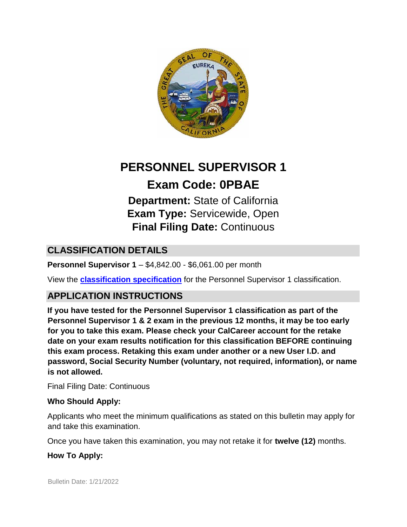

## **PERSONNEL SUPERVISOR 1**

# **Exam Code: 0PBAE**

**Department:** State of California **Exam Type:** Servicewide, Open **Final Filing Date:** Continuous

## **CLASSIFICATION DETAILS**

**Personnel Supervisor 1** – \$4,842.00 - \$6,061.00 per month

View the **[classification specification](http://www.calhr.ca.gov/state-hr-professionals/Pages/1303.aspx)** for the Personnel Supervisor 1 classification.

## **APPLICATION INSTRUCTIONS**

**If you have tested for the Personnel Supervisor 1 classification as part of the Personnel Supervisor 1 & 2 exam in the previous 12 months, it may be too early for you to take this exam. Please check your CalCareer account for the retake date on your exam results notification for this classification BEFORE continuing this exam process. Retaking this exam under another or a new User I.D. and password, Social Security Number (voluntary, not required, information), or name is not allowed.**

Final Filing Date: Continuous

#### **Who Should Apply:**

Applicants who meet the minimum qualifications as stated on this bulletin may apply for and take this examination.

Once you have taken this examination, you may not retake it for **twelve (12)** months.

#### **How To Apply:**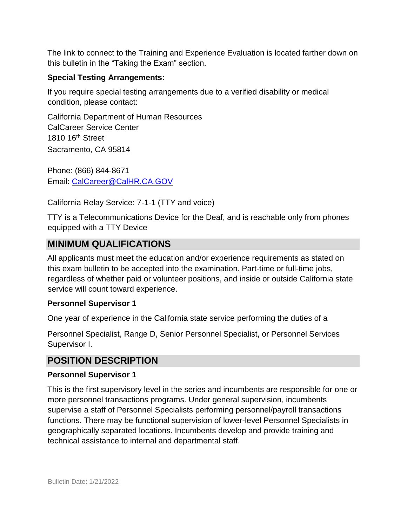The link to connect to the Training and Experience Evaluation is located farther down on this bulletin in the "Taking the Exam" section.

#### **Special Testing Arrangements:**

If you require special testing arrangements due to a verified disability or medical condition, please contact:

California Department of Human Resources CalCareer Service Center 1810 16th Street Sacramento, CA 95814

Phone: (866) 844-8671 Email: CalCareer@CalHR.CA.GOV

California Relay Service: 7-1-1 (TTY and voice)

TTY is a Telecommunications Device for the Deaf, and is reachable only from phones equipped with a TTY Device

#### **MINIMUM QUALIFICATIONS**

All applicants must meet the education and/or experience requirements as stated on this exam bulletin to be accepted into the examination. Part-time or full-time jobs, regardless of whether paid or volunteer positions, and inside or outside California state service will count toward experience.

#### **Personnel Supervisor 1**

One year of experience in the California state service performing the duties of a

Personnel Specialist, Range D, Senior Personnel Specialist, or Personnel Services Supervisor I.

#### **POSITION DESCRIPTION**

#### **Personnel Supervisor 1**

This is the first supervisory level in the series and incumbents are responsible for one or more personnel transactions programs. Under general supervision, incumbents supervise a staff of Personnel Specialists performing personnel/payroll transactions functions. There may be functional supervision of lower-level Personnel Specialists in geographically separated locations. Incumbents develop and provide training and technical assistance to internal and departmental staff.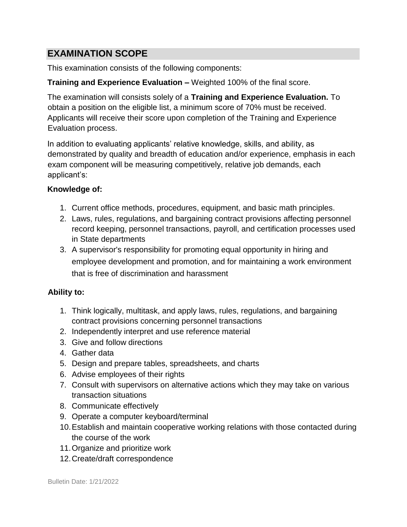## **EXAMINATION SCOPE**

This examination consists of the following components:

#### **Training and Experience Evaluation –** Weighted 100% of the final score.

The examination will consists solely of a **Training and Experience Evaluation.** To obtain a position on the eligible list, a minimum score of 70% must be received. Applicants will receive their score upon completion of the Training and Experience Evaluation process.

In addition to evaluating applicants' relative knowledge, skills, and ability, as demonstrated by quality and breadth of education and/or experience, emphasis in each exam component will be measuring competitively, relative job demands, each applicant's:

#### **Knowledge of:**

- 1. Current office methods, procedures, equipment, and basic math principles.
- 2. Laws, rules, regulations, and bargaining contract provisions affecting personnel record keeping, personnel transactions, payroll, and certification processes used in State departments
- 3. A supervisor's responsibility for promoting equal opportunity in hiring and employee development and promotion, and for maintaining a work environment that is free of discrimination and harassment

#### **Ability to:**

- 1. Think logically, multitask, and apply laws, rules, regulations, and bargaining contract provisions concerning personnel transactions
- 2. Independently interpret and use reference material
- 3. Give and follow directions
- 4. Gather data
- 5. Design and prepare tables, spreadsheets, and charts
- 6. Advise employees of their rights
- 7. Consult with supervisors on alternative actions which they may take on various transaction situations
- 8. Communicate effectively
- 9. Operate a computer keyboard/terminal
- 10.Establish and maintain cooperative working relations with those contacted during the course of the work
- 11.Organize and prioritize work
- 12.Create/draft correspondence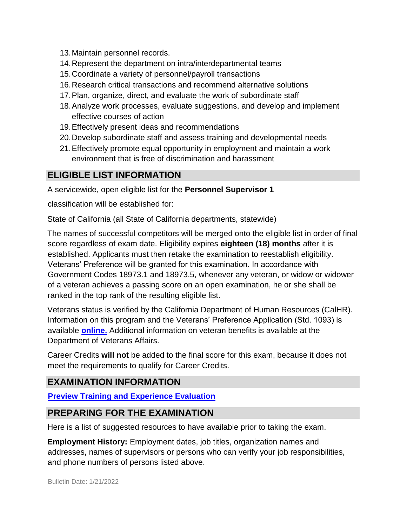- 13.Maintain personnel records.
- 14.Represent the department on intra/interdepartmental teams
- 15.Coordinate a variety of personnel/payroll transactions
- 16.Research critical transactions and recommend alternative solutions
- 17.Plan, organize, direct, and evaluate the work of subordinate staff
- 18.Analyze work processes, evaluate suggestions, and develop and implement effective courses of action
- 19.Effectively present ideas and recommendations
- 20.Develop subordinate staff and assess training and developmental needs
- 21.Effectively promote equal opportunity in employment and maintain a work environment that is free of discrimination and harassment

## **ELIGIBLE LIST INFORMATION**

A servicewide, open eligible list for the **Personnel Supervisor 1** 

classification will be established for:

State of California (all State of California departments, statewide)

The names of successful competitors will be merged onto the eligible list in order of final score regardless of exam date. Eligibility expires **eighteen (18) months** after it is established. Applicants must then retake the examination to reestablish eligibility. Veterans' Preference will be granted for this examination. In accordance with Government Codes 18973.1 and 18973.5, whenever any veteran, or widow or widower of a veteran achieves a passing score on an open examination, he or she shall be ranked in the top rank of the resulting eligible list.

Veterans status is verified by the California Department of Human Resources (CalHR). Information on this program and the Veterans' Preference Application (Std. 1093) is available **[online.](https://www.jobs.ca.gov/CalHRPublic/Landing/Jobs/VeteransInformation.aspx)** [A](https://www.jobs.ca.gov/CalHRPublic/Landing/Jobs/VeteransInformation.aspx)dditional information on veteran benefits is available at the Department of Veterans Affairs.

Career Credits **will not** be added to the final score for this exam, because it does not meet the requirements to qualify for Career Credits.

## **EXAMINATION INFORMATION**

**[Preview Training and Experience Evaluation](https://jobs.ca.gov/jobsgen/0PBAEA.pdf)**

## **PREPARING FOR THE EXAMINATION**

Here is a list of suggested resources to have available prior to taking the exam.

**Employment History:** Employment dates, job titles, organization names and addresses, names of supervisors or persons who can verify your job responsibilities, and phone numbers of persons listed above.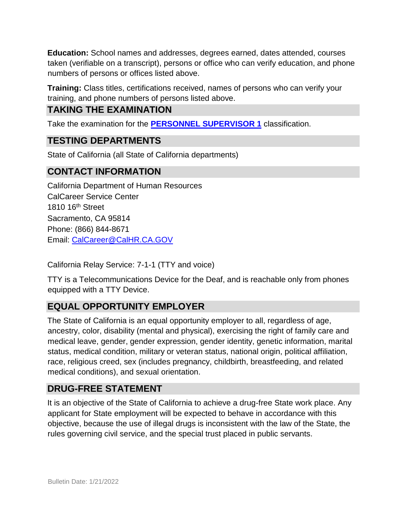**Education:** School names and addresses, degrees earned, dates attended, courses taken (verifiable on a transcript), persons or office who can verify education, and phone numbers of persons or offices listed above.

**Training:** Class titles, certifications received, names of persons who can verify your training, and phone numbers of persons listed above.

## **TAKING THE EXAMINATION**

Take the examination for the **[PERSONNEL SUPERVISOR 1](https://www.jobs.ca.gov/Public/Login.aspx?ExamId=0PBAE)** classification.

## **TESTING DEPARTMENTS**

State of California (all State of California departments)

### **CONTACT INFORMATION**

California Department of Human Resources CalCareer Service Center 1810 16th Street Sacramento, CA 95814 Phone: (866) 844-8671 Email: CalCareer@CalHR.CA.GOV

California Relay Service: 7-1-1 (TTY and voice)

TTY is a Telecommunications Device for the Deaf, and is reachable only from phones equipped with a TTY Device.

## **EQUAL OPPORTUNITY EMPLOYER**

The State of California is an equal opportunity employer to all, regardless of age, ancestry, color, disability (mental and physical), exercising the right of family care and medical leave, gender, gender expression, gender identity, genetic information, marital status, medical condition, military or veteran status, national origin, political affiliation, race, religious creed, sex (includes pregnancy, childbirth, breastfeeding, and related medical conditions), and sexual orientation.

#### **DRUG-FREE STATEMENT**

It is an objective of the State of California to achieve a drug-free State work place. Any applicant for State employment will be expected to behave in accordance with this objective, because the use of illegal drugs is inconsistent with the law of the State, the rules governing civil service, and the special trust placed in public servants.